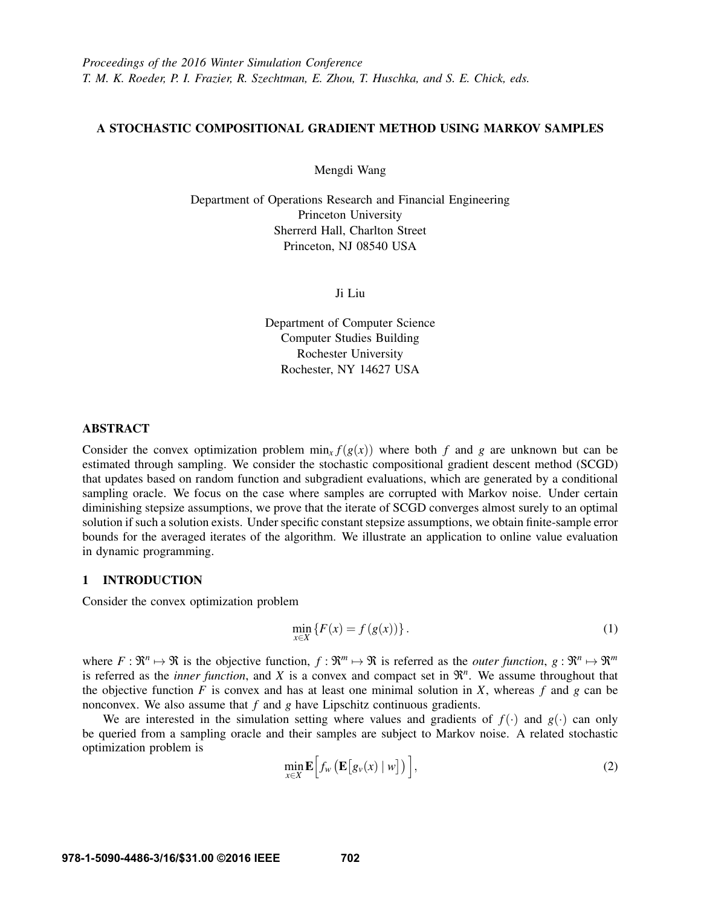# A STOCHASTIC COMPOSITIONAL GRADIENT METHOD USING MARKOV SAMPLES

Mengdi Wang

Department of Operations Research and Financial Engineering Princeton University Sherrerd Hall, Charlton Street Princeton, NJ 08540 USA

Ji Liu

Department of Computer Science Computer Studies Building Rochester University Rochester, NY 14627 USA

# ABSTRACT

Consider the convex optimization problem  $\min_x f(g(x))$  where both *f* and *g* are unknown but can be estimated through sampling. We consider the stochastic compositional gradient descent method (SCGD) that updates based on random function and subgradient evaluations, which are generated by a conditional sampling oracle. We focus on the case where samples are corrupted with Markov noise. Under certain diminishing stepsize assumptions, we prove that the iterate of SCGD converges almost surely to an optimal solution if such a solution exists. Under specific constant stepsize assumptions, we obtain finite-sample error bounds for the averaged iterates of the algorithm. We illustrate an application to online value evaluation in dynamic programming.

## 1 INTRODUCTION

Consider the convex optimization problem

$$
\min_{x \in X} \{ F(x) = f(g(x)) \}.
$$
 (1)

where  $F: \mathbb{R}^n \mapsto \mathbb{R}$  is the objective function,  $f: \mathbb{R}^m \mapsto \mathbb{R}$  is referred as the *outer function*,  $g: \mathbb{R}^n \mapsto \mathbb{R}^m$ is referred as the *inner function*, and  $X$  is a convex and compact set in  $\mathbb{R}^n$ . We assume throughout that the objective function  $F$  is convex and has at least one minimal solution in  $X$ , whereas  $f$  and  $g$  can be nonconvex. We also assume that *f* and *g* have Lipschitz continuous gradients.

We are interested in the simulation setting where values and gradients of  $f(\cdot)$  and  $g(\cdot)$  can only be queried from a sampling oracle and their samples are subject to Markov noise. A related stochastic optimization problem is

$$
\min_{x \in X} \mathbf{E} \Big[ f_w \big( \mathbf{E} \big[ g_v(x) \mid w \big] \big) \Big], \tag{2}
$$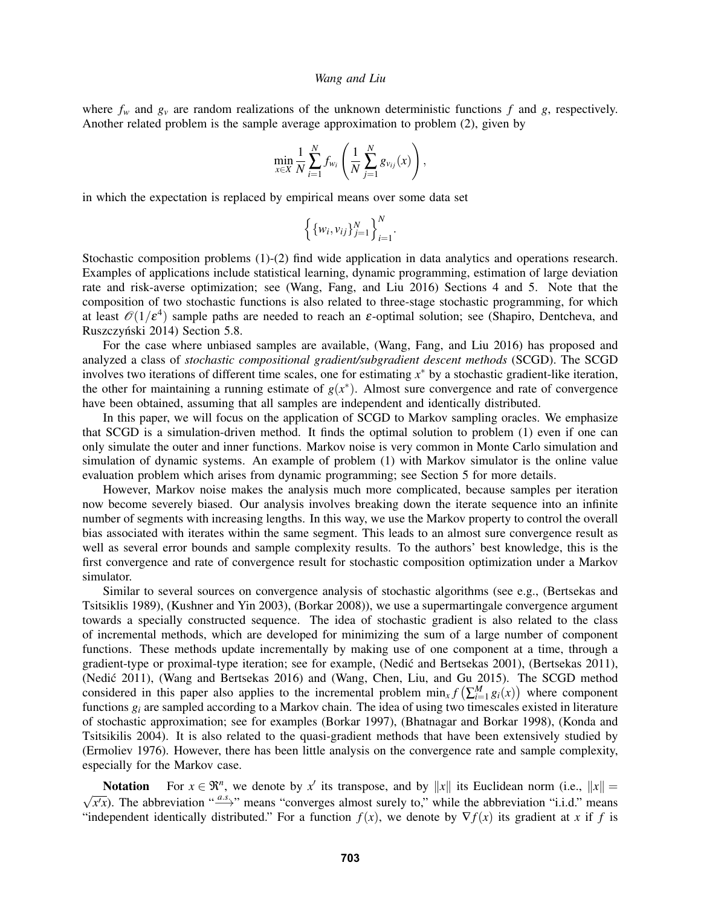where  $f_w$  and  $g_v$  are random realizations of the unknown deterministic functions  $f$  and  $g$ , respectively. Another related problem is the sample average approximation to problem (2), given by

$$
\min_{x \in X} \frac{1}{N} \sum_{i=1}^{N} f_{w_i} \left( \frac{1}{N} \sum_{j=1}^{N} g_{v_{ij}}(x) \right),\,
$$

in which the expectation is replaced by empirical means over some data set

$$
\left\{\{w_i,v_{ij}\}_{j=1}^N\right\}_{i=1}^N.
$$

Stochastic composition problems (1)-(2) find wide application in data analytics and operations research. Examples of applications include statistical learning, dynamic programming, estimation of large deviation rate and risk-averse optimization; see (Wang, Fang, and Liu 2016) Sections 4 and 5. Note that the composition of two stochastic functions is also related to three-stage stochastic programming, for which at least  $\mathcal{O}(1/\epsilon^4)$  sample paths are needed to reach an  $\epsilon$ -optimal solution; see (Shapiro, Dentcheva, and Ruszczyński 2014) Section 5.8.

For the case where unbiased samples are available, (Wang, Fang, and Liu 2016) has proposed and analyzed a class of *stochastic compositional gradient/subgradient descent methods* (SCGD). The SCGD involves two iterations of different time scales, one for estimating *x* <sup>∗</sup> by a stochastic gradient-like iteration, the other for maintaining a running estimate of  $g(x^*)$ . Almost sure convergence and rate of convergence have been obtained, assuming that all samples are independent and identically distributed.

In this paper, we will focus on the application of SCGD to Markov sampling oracles. We emphasize that SCGD is a simulation-driven method. It finds the optimal solution to problem (1) even if one can only simulate the outer and inner functions. Markov noise is very common in Monte Carlo simulation and simulation of dynamic systems. An example of problem (1) with Markov simulator is the online value evaluation problem which arises from dynamic programming; see Section 5 for more details.

However, Markov noise makes the analysis much more complicated, because samples per iteration now become severely biased. Our analysis involves breaking down the iterate sequence into an infinite number of segments with increasing lengths. In this way, we use the Markov property to control the overall bias associated with iterates within the same segment. This leads to an almost sure convergence result as well as several error bounds and sample complexity results. To the authors' best knowledge, this is the first convergence and rate of convergence result for stochastic composition optimization under a Markov simulator.

Similar to several sources on convergence analysis of stochastic algorithms (see e.g., (Bertsekas and Tsitsiklis 1989), (Kushner and Yin 2003), (Borkar 2008)), we use a supermartingale convergence argument towards a specially constructed sequence. The idea of stochastic gradient is also related to the class of incremental methods, which are developed for minimizing the sum of a large number of component functions. These methods update incrementally by making use of one component at a time, through a gradient-type or proximal-type iteration; see for example, (Nedic and Bertsekas 2001), (Bertsekas 2011), (Nedić 2011), (Wang and Bertsekas 2016) and (Wang, Chen, Liu, and Gu 2015). The SCGD method considered in this paper also applies to the incremental problem  $\min_x f\left(\sum_{i=1}^M g_i(x)\right)$  where component functions  $g_i$  are sampled according to a Markov chain. The idea of using two timescales existed in literature of stochastic approximation; see for examples (Borkar 1997), (Bhatnagar and Borkar 1998), (Konda and Tsitsikilis 2004). It is also related to the quasi-gradient methods that have been extensively studied by (Ermoliev 1976). However, there has been little analysis on the convergence rate and sample complexity, especially for the Markov case.

Notation For  $x \in \mathbb{R}^n$ , we denote by  $x'$  its transpose, and by  $||x||$  its Euclidean norm (i.e.,  $||x|| =$  $\overline{x/x}$ ). The abbreviation "*a.s.*  $\overline{x}$ " means "converges almost surely to," while the abbreviation "i.i.d." means "independent identically distributed." For a function  $f(x)$ , we denote by  $\nabla f(x)$  its gradient at *x* if *f* is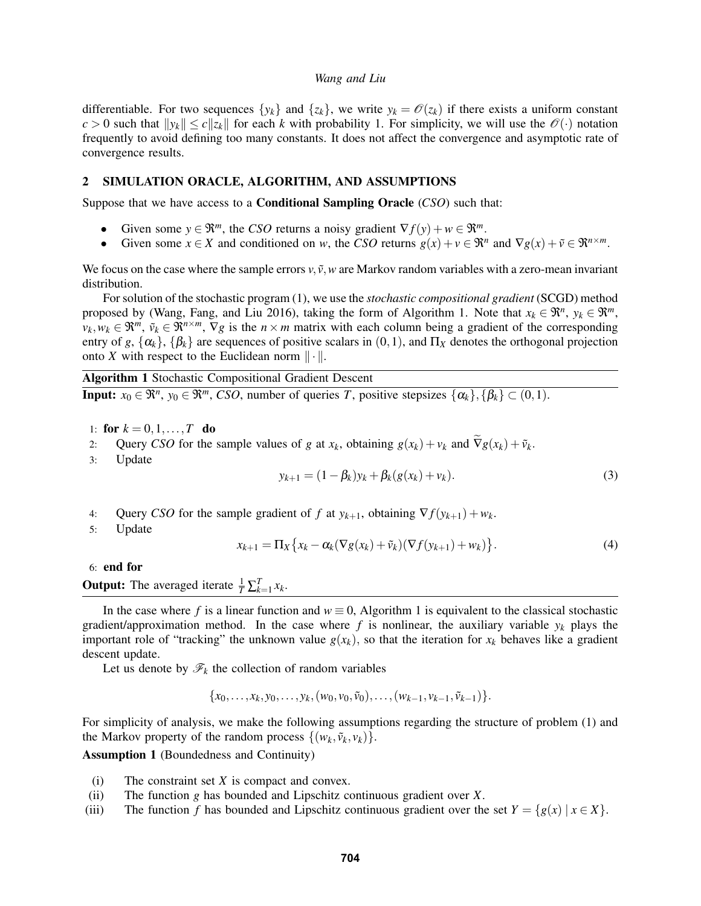differentiable. For two sequences  $\{y_k\}$  and  $\{z_k\}$ , we write  $y_k = \mathcal{O}(z_k)$  if there exists a uniform constant  $c > 0$  such that  $\|y_k\| \le c \|z_k\|$  for each *k* with probability 1. For simplicity, we will use the  $\mathcal{O}(\cdot)$  notation frequently to avoid defining too many constants. It does not affect the convergence and asymptotic rate of convergence results.

## 2 SIMULATION ORACLE, ALGORITHM, AND ASSUMPTIONS

Suppose that we have access to a Conditional Sampling Oracle (*CSO*) such that:

- Given some  $y \in \mathbb{R}^m$ , the *CSO* returns a noisy gradient  $\nabla f(y) + w \in \mathbb{R}^m$ .
- Given some  $x \in X$  and conditioned on *w*, the *CSO* returns  $g(x) + v \in \mathbb{R}^n$  and  $\nabla g(x) + \tilde{v} \in \mathbb{R}^{n \times m}$ .

We focus on the case where the sample errors  $v, \tilde{v}, w$  are Markov random variables with a zero-mean invariant distribution.

For solution of the stochastic program (1), we use the *stochastic compositional gradient* (SCGD) method proposed by (Wang, Fang, and Liu 2016), taking the form of Algorithm 1. Note that  $x_k \in \mathbb{R}^n$ ,  $y_k \in \mathbb{R}^m$ ,  $v_k, w_k \in \mathbb{R}^m$ ,  $\tilde{v}_k \in \mathbb{R}^{n \times m}$ ,  $\nabla g$  is the  $n \times m$  matrix with each column being a gradient of the corresponding entry of *g*,  $\{\alpha_k\}$ ,  $\{\beta_k\}$  are sequences of positive scalars in  $(0,1)$ , and  $\Pi_X$  denotes the orthogonal projection onto *X* with respect to the Euclidean norm  $\|\cdot\|$ .

Algorithm 1 Stochastic Compositional Gradient Descent

**Input:**  $x_0 \in \mathbb{R}^n$ ,  $y_0 \in \mathbb{R}^m$ , *CSO*, number of queries *T*, positive stepsizes  $\{\alpha_k\}$ ,  $\{\beta_k\} \subset (0,1)$ .

- 1: for  $k = 0, 1, ..., T$  do
- 2: Query *CSO* for the sample values of *g* at  $x_k$ , obtaining  $g(x_k) + v_k$  and  $\tilde{\nabla}g(x_k) + \tilde{v}_k$ .<br>3: Undate
- **Update**

$$
y_{k+1} = (1 - \beta_k)y_k + \beta_k(g(x_k) + v_k).
$$
 (3)

- 4: Query *CSO* for the sample gradient of *f* at  $y_{k+1}$ , obtaining  $\nabla f(y_{k+1}) + w_k$ .
- 5: Update

$$
x_{k+1} = \Pi_X \left\{ x_k - \alpha_k (\nabla g(x_k) + \tilde{v}_k)(\nabla f(y_{k+1}) + w_k) \right\}.
$$
 (4)

6: end for

**Output:** The averaged iterate  $\frac{1}{T} \sum_{k=1}^{T} x_k$ .

In the case where f is a linear function and  $w \equiv 0$ , Algorithm 1 is equivalent to the classical stochastic gradient/approximation method. In the case where  $f$  is nonlinear, the auxiliary variable  $y_k$  plays the important role of "tracking" the unknown value  $g(x_k)$ , so that the iteration for  $x_k$  behaves like a gradient descent update.

Let us denote by  $\mathcal{F}_k$  the collection of random variables

$$
\{x_0,\ldots,x_k,y_0,\ldots,y_k,(w_0,v_0,\tilde{v}_0),\ldots,(w_{k-1},v_{k-1},\tilde{v}_{k-1})\}.
$$

For simplicity of analysis, we make the following assumptions regarding the structure of problem (1) and the Markov property of the random process  $\{(w_k, \tilde{v}_k, v_k)\}.$ 

Assumption 1 (Boundedness and Continuity)

- (i) The constraint set *X* is compact and convex.
- (ii) The function *g* has bounded and Lipschitz continuous gradient over *X*.
- (iii) The function *f* has bounded and Lipschitz continuous gradient over the set  $Y = \{g(x) | x \in X\}$ .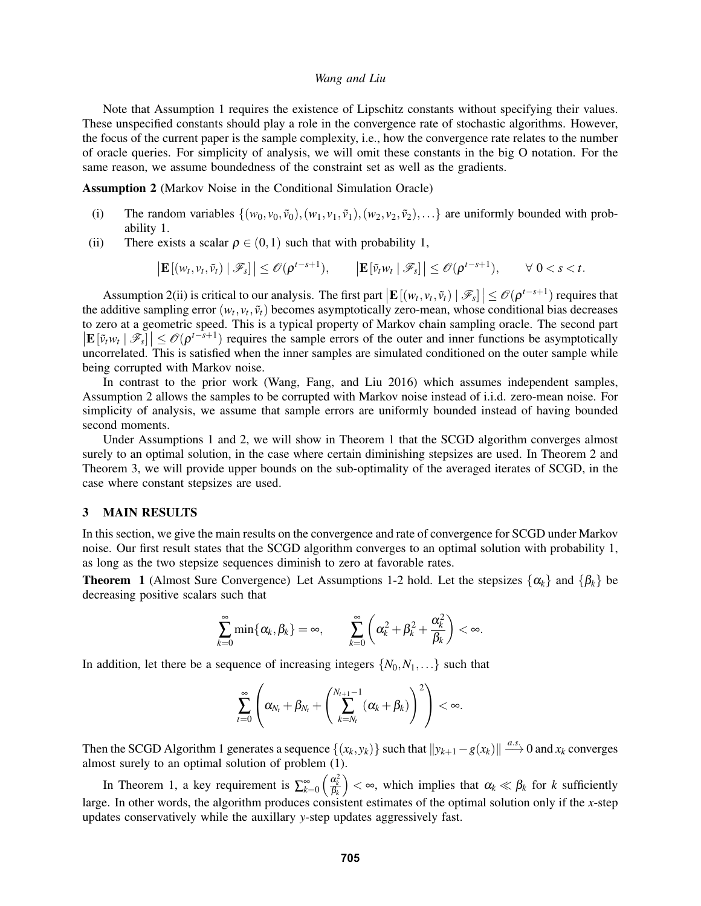Note that Assumption 1 requires the existence of Lipschitz constants without specifying their values. These unspecified constants should play a role in the convergence rate of stochastic algorithms. However, the focus of the current paper is the sample complexity, i.e., how the convergence rate relates to the number of oracle queries. For simplicity of analysis, we will omit these constants in the big O notation. For the same reason, we assume boundedness of the constraint set as well as the gradients.

Assumption 2 (Markov Noise in the Conditional Simulation Oracle)

- (i) The random variables  $\{(w_0, v_0, \tilde{v}_0), (w_1, v_1, \tilde{v}_1), (w_2, v_2, \tilde{v}_2), \ldots\}$  are uniformly bounded with probability 1.
- (ii) There exists a scalar  $\rho \in (0,1)$  such that with probability 1,

$$
\left|\mathbf{E}\left[(w_t,v_t,\tilde{v}_t)\mid \mathscr{F}_s\right]\right|\leq \mathscr{O}(\rho^{t-s+1}),\qquad \left|\mathbf{E}\left[\tilde{v}_t w_t\mid \mathscr{F}_s\right]\right|\leq \mathscr{O}(\rho^{t-s+1}),\qquad \forall\ 0
$$

Assumption 2(ii) is critical to our analysis. The first part  $|\mathbf{E}[(w_t, v_t, \tilde{v}_t) | \mathcal{F}_s] \leq \mathcal{O}(\rho^{t-s+1})$  requires that the additive sampling error  $(w_t, v_t, \tilde{v}_t)$  becomes asymptotically zero-mean, whose conditional bias decreases to zero at a geometric speed. This is a typical property of Markov chain sampling oracle. The second part  $|\mathbf{E}[\tilde{v}_t w_t | \mathcal{F}_s]|\leq \mathcal{O}(\rho^{t-s+1})$  requires the sample errors of the outer and inner functions be asymptotically uncorrelated. This is satisfied when the inner samples are simulated conditioned on the outer sample while being corrupted with Markov noise.

In contrast to the prior work (Wang, Fang, and Liu 2016) which assumes independent samples, Assumption 2 allows the samples to be corrupted with Markov noise instead of i.i.d. zero-mean noise. For simplicity of analysis, we assume that sample errors are uniformly bounded instead of having bounded second moments.

Under Assumptions 1 and 2, we will show in Theorem 1 that the SCGD algorithm converges almost surely to an optimal solution, in the case where certain diminishing stepsizes are used. In Theorem 2 and Theorem 3, we will provide upper bounds on the sub-optimality of the averaged iterates of SCGD, in the case where constant stepsizes are used.

### 3 MAIN RESULTS

In this section, we give the main results on the convergence and rate of convergence for SCGD under Markov noise. Our first result states that the SCGD algorithm converges to an optimal solution with probability 1, as long as the two stepsize sequences diminish to zero at favorable rates.

**Theorem 1** (Almost Sure Convergence) Let Assumptions 1-2 hold. Let the stepsizes  $\{\alpha_k\}$  and  $\{\beta_k\}$  be decreasing positive scalars such that

$$
\sum_{k=0}^{\infty} \min\{\alpha_k, \beta_k\} = \infty, \qquad \sum_{k=0}^{\infty} \left(\alpha_k^2 + \beta_k^2 + \frac{\alpha_k^2}{\beta_k}\right) < \infty.
$$

In addition, let there be a sequence of increasing integers  $\{N_0, N_1, \ldots\}$  such that

$$
\sum_{t=0}^{\infty} \left( \alpha_{N_t} + \beta_{N_t} + \left( \sum_{k=N_t}^{N_{t+1}-1} (\alpha_k + \beta_k) \right)^2 \right) < \infty.
$$

Then the SCGD Algorithm 1 generates a sequence  $\{(x_k, y_k)\}\$  such that  $\|y_{k+1}-g(x_k)\| \stackrel{a.s.}{\longrightarrow} 0$  and  $x_k$  converges almost surely to an optimal solution of problem (1).

In Theorem 1, a key requirement is  $\sum_{k=0}^{\infty} \left( \frac{\alpha_k^2}{\beta_k} \right)$  $\bigg)$  <  $\infty$ , which implies that  $\alpha_k \ll \beta_k$  for *k* sufficiently large. In other words, the algorithm produces consistent estimates of the optimal solution only if the *x*-step updates conservatively while the auxillary *y*-step updates aggressively fast.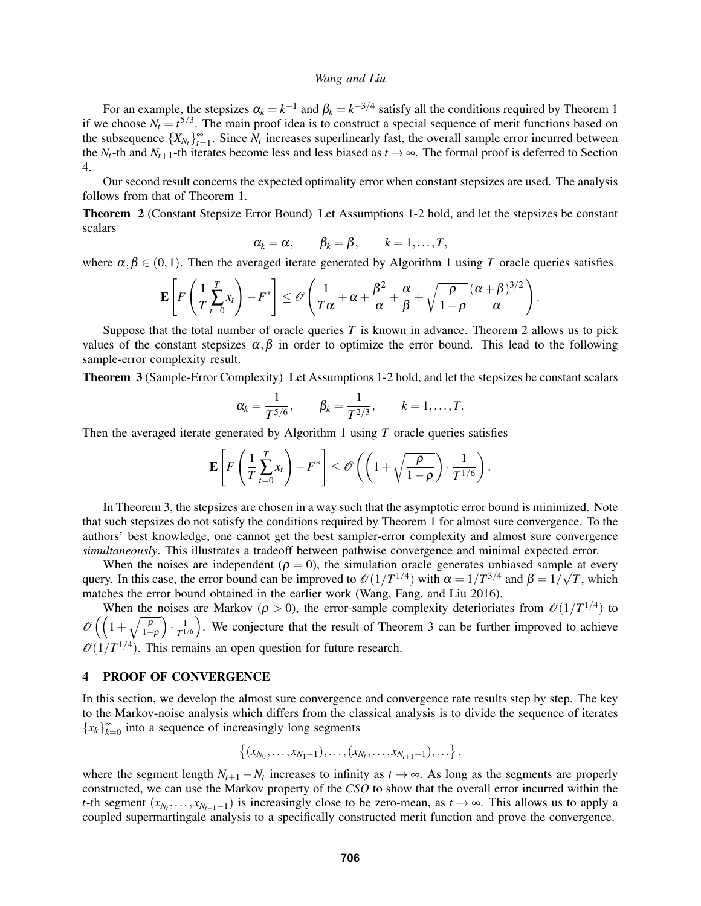For an example, the stepsizes  $\alpha_k = k^{-1}$  and  $\beta_k = k^{-3/4}$  satisfy all the conditions required by Theorem 1 if we choose  $N_t = t^{5/3}$ . The main proof idea is to construct a special sequence of merit functions based on the subsequence  $\{X_{N_t}\}_{t=1}^{\infty}$ . Since  $N_t$  increases superlinearly fast, the overall sample error incurred between the  $N_t$ -th and  $N_{t+1}$ -th iterates become less and less biased as  $t \to \infty$ . The formal proof is deferred to Section 4.

Our second result concerns the expected optimality error when constant stepsizes are used. The analysis follows from that of Theorem 1.

Theorem 2 (Constant Stepsize Error Bound) Let Assumptions 1-2 hold, and let the stepsizes be constant scalars

$$
\alpha_k = \alpha, \qquad \beta_k = \beta, \qquad k = 1, \ldots, T,
$$

where  $\alpha, \beta \in (0,1)$ . Then the averaged iterate generated by Algorithm 1 using *T* oracle queries satisfies

$$
\mathbf{E}\left[F\left(\frac{1}{T}\sum_{t=0}^T x_t\right) - F^*\right] \le \mathcal{O}\left(\frac{1}{T\alpha} + \alpha + \frac{\beta^2}{\alpha} + \frac{\alpha}{\beta} + \sqrt{\frac{\rho}{1-\rho}}\frac{(\alpha+\beta)^{3/2}}{\alpha}\right).
$$

Suppose that the total number of oracle queries *T* is known in advance. Theorem 2 allows us to pick values of the constant stepsizes  $\alpha, \beta$  in order to optimize the error bound. This lead to the following sample-error complexity result.

Theorem 3 (Sample-Error Complexity) Let Assumptions 1-2 hold, and let the stepsizes be constant scalars

$$
\alpha_k = \frac{1}{T^{5/6}}, \qquad \beta_k = \frac{1}{T^{2/3}}, \qquad k = 1, \ldots, T.
$$

Then the averaged iterate generated by Algorithm 1 using *T* oracle queries satisfies

$$
\mathbf{E}\left[F\left(\frac{1}{T}\sum_{t=0}^T x_t\right) - F^*\right] \leq \mathcal{O}\left(\left(1 + \sqrt{\frac{\rho}{1-\rho}}\right) \cdot \frac{1}{T^{1/6}}\right).
$$

In Theorem 3, the stepsizes are chosen in a way such that the asymptotic error bound is minimized. Note that such stepsizes do not satisfy the conditions required by Theorem 1 for almost sure convergence. To the authors' best knowledge, one cannot get the best sampler-error complexity and almost sure convergence *simultaneously*. This illustrates a tradeoff between pathwise convergence and minimal expected error.

When the noises are independent ( $\rho = 0$ ), the simulation oracle generates unbiased sample at every query. In this case, the error bound can be improved to  $\mathcal{O}(1/T^{1/4})$  with  $\alpha = 1/T^{3/4}$  and  $\beta = 1/\sqrt{T}$ , which matches the error bound obtained in the earlier work (Wang, Fang, and Liu 2016).

When the noises are Markov ( $\rho > 0$ ), the error-sample complexity deterioriates from  $\mathcal{O}(1/T^{1/4})$  to  $\mathscr{O}\left(\left(1+\sqrt{\frac{\rho}{1-\rho}}\right)\right)$  $\cdot \frac{1}{T}$  $\frac{1}{T^{1/6}}$ . We conjecture that the result of Theorem 3 can be further improved to achieve  $\mathcal{O}(1/T^{1/4})$ . This remains an open question for future research.

## 4 PROOF OF CONVERGENCE

In this section, we develop the almost sure convergence and convergence rate results step by step. The key to the Markov-noise analysis which differs from the classical analysis is to divide the sequence of iterates  ${x_k}_{k=0}^{\infty}$  into a sequence of increasingly long segments

$$
\{(x_{N_0},\ldots,x_{N_1-1}),\ldots,(x_{N_t},\ldots,x_{N_{t+1}-1}),\ldots\},\,
$$

where the segment length  $N_{t+1} - N_t$  increases to infinity as  $t \to \infty$ . As long as the segments are properly constructed, we can use the Markov property of the *CSO* to show that the overall error incurred within the *t*-th segment  $(x_{N_t},...,x_{N_{t+1}-1})$  is increasingly close to be zero-mean, as  $t \to \infty$ . This allows us to apply a coupled supermartingale analysis to a specifically constructed merit function and prove the convergence.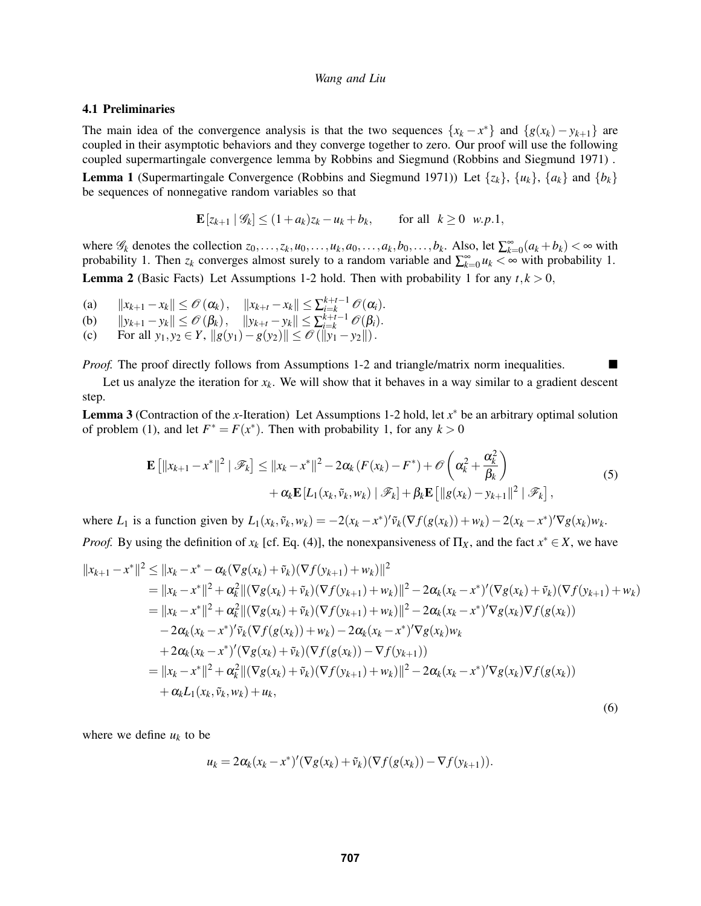## 4.1 Preliminaries

The main idea of the convergence analysis is that the two sequences  $\{x_k - x^*\}$  and  $\{g(x_k) - y_{k+1}\}$  are coupled in their asymptotic behaviors and they converge together to zero. Our proof will use the following coupled supermartingale convergence lemma by Robbins and Siegmund (Robbins and Siegmund 1971) . **Lemma 1** (Supermartingale Convergence (Robbins and Siegmund 1971)) Let  $\{z_k\}$ ,  $\{u_k\}$ ,  $\{a_k\}$  and  $\{b_k\}$ be sequences of nonnegative random variables so that

$$
\mathbf{E}\left[z_{k+1} \mid \mathscr{G}_k\right] \le (1+a_k)z_k - u_k + b_k, \quad \text{for all } k \ge 0 \text{ w.p.1},
$$

where  $\mathscr{G}_k$  denotes the collection  $z_0, \ldots, z_k, u_0, \ldots, u_k, a_0, \ldots, a_k, b_0, \ldots, b_k$ . Also, let  $\sum_{k=0}^{\infty} (a_k + b_k) < \infty$  with probability 1. Then  $z_k$  converges almost surely to a random variable and  $\sum_{k=0}^{\infty} u_k < \infty$  with probability 1. **Lemma 2** (Basic Facts) Let Assumptions 1-2 hold. Then with probability 1 for any  $t, k > 0$ ,

- (a)  $||x_{k+1} x_k|| \leq \mathcal{O}(\alpha_k), \quad ||x_{k+t} x_k|| \leq \sum_{i=k}^{k+t-1} \mathcal{O}(\alpha_i).$
- (b)  $||y_{k+1} y_k|| \leq \mathcal{O}(\beta_k), \quad ||y_{k+t} y_k|| \leq \sum_{i=k}^{k+t-1} \mathcal{O}(\beta_i).$
- (c) For all  $y_1, y_2 \in Y$ ,  $||g(y_1) g(y_2)|| \le \mathcal{O}(||y_1 y_2||)$ .

*Proof.* The proof directly follows from Assumptions 1-2 and triangle/matrix norm inequalities.

Let us analyze the iteration for  $x_k$ . We will show that it behaves in a way similar to a gradient descent step.

Lemma 3 (Contraction of the *x*-Iteration) Let Assumptions 1-2 hold, let *x* <sup>∗</sup> be an arbitrary optimal solution of problem (1), and let  $F^* = F(x^*)$ . Then with probability 1, for any  $k > 0$ 

$$
\mathbf{E}\left[\|x_{k+1}-x^*\|^2 \mid \mathscr{F}_k\right] \le \|x_k-x^*\|^2 - 2\alpha_k \left(F(x_k)-F^*\right) + \mathscr{O}\left(\alpha_k^2 + \frac{\alpha_k^2}{\beta_k}\right) + \alpha_k \mathbf{E}\left[L_1(x_k,\tilde{v}_k,w_k) \mid \mathscr{F}_k\right] + \beta_k \mathbf{E}\left[\|g(x_k)-y_{k+1}\|^2 \mid \mathscr{F}_k\right],\tag{5}
$$

where  $L_1$  is a function given by  $L_1(x_k, \tilde{v}_k, w_k) = -2(x_k - x^*)' \tilde{v}_k(\nabla f(g(x_k)) + w_k) - 2(x_k - x^*)' \nabla g(x_k) w_k$ . *Proof.* By using the definition of  $x_k$  [cf. Eq. (4)], the nonexpansiveness of  $\Pi_X$ , and the fact  $x^* \in X$ , we have

$$
||x_{k+1} - x^*||^2 \le ||x_k - x^* - \alpha_k(\nabla g(x_k) + \tilde{v}_k)(\nabla f(y_{k+1}) + w_k)||^2
$$
  
\n
$$
= ||x_k - x^*||^2 + \alpha_k^2 ||(\nabla g(x_k) + \tilde{v}_k)(\nabla f(y_{k+1}) + w_k)||^2 - 2\alpha_k(x_k - x^*)'(\nabla g(x_k) + \tilde{v}_k)(\nabla f(y_{k+1}) + w_k)
$$
  
\n
$$
= ||x_k - x^*||^2 + \alpha_k^2 ||(\nabla g(x_k) + \tilde{v}_k)(\nabla f(y_{k+1}) + w_k)||^2 - 2\alpha_k(x_k - x^*)'\nabla g(x_k)\nabla f(g(x_k))
$$
  
\n
$$
- 2\alpha_k(x_k - x^*)'\tilde{v}_k(\nabla f(g(x_k)) + w_k) - 2\alpha_k(x_k - x^*)'\nabla g(x_k)w_k
$$
  
\n
$$
+ 2\alpha_k(x_k - x^*)'(\nabla g(x_k) + \tilde{v}_k)(\nabla f(g(x_k)) - \nabla f(y_{k+1}))
$$
  
\n
$$
= ||x_k - x^*||^2 + \alpha_k^2 ||(\nabla g(x_k) + \tilde{v}_k)(\nabla f(y_{k+1}) + w_k)||^2 - 2\alpha_k(x_k - x^*)'\nabla g(x_k)\nabla f(g(x_k))
$$
  
\n
$$
+ \alpha_k L_1(x_k, \tilde{v}_k, w_k) + u_k,
$$
  
\n(6)

where we define  $u_k$  to be

$$
u_k = 2\alpha_k(x_k - x^*)'(\nabla g(x_k) + \tilde{v}_k)(\nabla f(g(x_k)) - \nabla f(y_{k+1})).
$$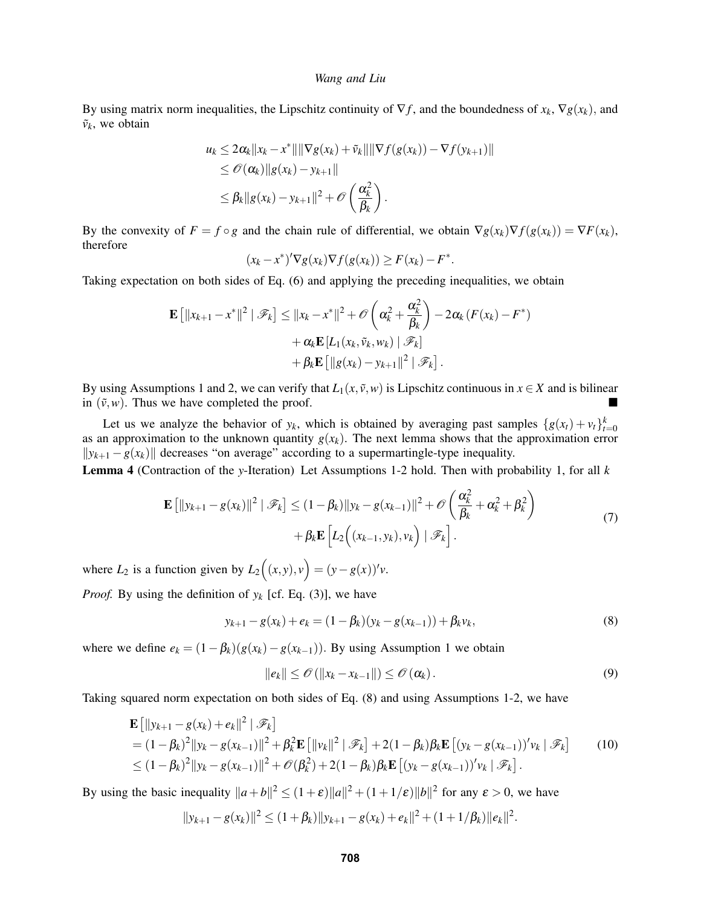By using matrix norm inequalities, the Lipschitz continuity of  $\nabla f$ , and the boundedness of  $x_k$ ,  $\nabla g(x_k)$ , and  $\tilde{v}_k$ , we obtain

$$
u_k \leq 2\alpha_k ||x_k - x^*|| ||\nabla g(x_k) + \tilde{v}_k|| ||\nabla f(g(x_k)) - \nabla f(y_{k+1})||
$$
  
\n
$$
\leq \mathcal{O}(\alpha_k) ||g(x_k) - y_{k+1}||
$$
  
\n
$$
\leq \beta_k ||g(x_k) - y_{k+1}||^2 + \mathcal{O}\left(\frac{\alpha_k^2}{\beta_k}\right).
$$

By the convexity of  $F = f \circ g$  and the chain rule of differential, we obtain  $\nabla g(x_k) \nabla f(g(x_k)) = \nabla F(x_k)$ , therefore

$$
(x_k-x^*)'\nabla g(x_k)\nabla f(g(x_k))\geq F(x_k)-F^*.
$$

Taking expectation on both sides of Eq. (6) and applying the preceding inequalities, we obtain

$$
\mathbf{E} [||x_{k+1} - x^*||^2 | \mathscr{F}_k] \le ||x_k - x^*||^2 + \mathscr{O}\left(\alpha_k^2 + \frac{\alpha_k^2}{\beta_k}\right) - 2\alpha_k (F(x_k) - F^*)
$$
  
+  $\alpha_k \mathbf{E} [L_1(x_k, \tilde{v}_k, w_k) | \mathscr{F}_k]$   
+  $\beta_k \mathbf{E} [||g(x_k) - y_{k+1}||^2 | \mathscr{F}_k].$ 

By using Assumptions 1 and 2, we can verify that  $L_1(x, \tilde{v}, w)$  is Lipschitz continuous in  $x \in X$  and is bilinear in  $(\tilde{v}, w)$ . Thus we have completed the proof.

Let us we analyze the behavior of  $y_k$ , which is obtained by averaging past samples  $\{g(x_t) + v_t\}_{t=0}^k$ as an approximation to the unknown quantity  $g(x_k)$ . The next lemma shows that the approximation error  $||y_{k+1} - g(x_k)||$  decreases "on average" according to a supermartingle-type inequality.

Lemma 4 (Contraction of the *y*-Iteration) Let Assumptions 1-2 hold. Then with probability 1, for all *k*

$$
\mathbf{E}\left[\|y_{k+1} - g(x_k)\|^2 \mid \mathcal{F}_k\right] \le (1 - \beta_k) \|y_k - g(x_{k-1})\|^2 + \mathcal{O}\left(\frac{\alpha_k^2}{\beta_k} + \alpha_k^2 + \beta_k^2\right) + \beta_k \mathbf{E}\left[L_2\left((x_{k-1}, y_k), v_k\right) \mid \mathcal{F}_k\right].
$$
\n(7)

where  $L_2$  is a function given by  $L_2((x, y), v) = (y - g(x))'v$ .

*Proof.* By using the definition of  $y_k$  [cf. Eq. (3)], we have

$$
y_{k+1} - g(x_k) + e_k = (1 - \beta_k)(y_k - g(x_{k-1})) + \beta_k v_k,
$$
\n(8)

where we define  $e_k = (1 - \beta_k)(g(x_k) - g(x_{k-1}))$ . By using Assumption 1 we obtain

$$
||e_k|| \leq \mathcal{O}(|x_k - x_{k-1}||) \leq \mathcal{O}(\alpha_k).
$$
\n(9)

.

Taking squared norm expectation on both sides of Eq. (8) and using Assumptions 1-2, we have

$$
\mathbf{E} [||y_{k+1} - g(x_k) + e_k||^2 | \mathcal{F}_k]
$$
  
=  $(1 - \beta_k)^2 ||y_k - g(x_{k-1})||^2 + \beta_k^2 \mathbf{E} [||v_k||^2 | \mathcal{F}_k] + 2(1 - \beta_k)\beta_k \mathbf{E} [(y_k - g(x_{k-1}))'v_k | \mathcal{F}_k]$  (10)  
 $\leq (1 - \beta_k)^2 ||y_k - g(x_{k-1})||^2 + \mathcal{O}(\beta_k^2) + 2(1 - \beta_k)\beta_k \mathbf{E} [(y_k - g(x_{k-1}))'v_k | \mathcal{F}_k].$ 

By using the basic inequality  $||a+b||^2 \le (1+\varepsilon)||a||^2 + (1+1/\varepsilon)||b||^2$  for any  $\varepsilon > 0$ , we have

$$
||y_{k+1} - g(x_k)||^2 \le (1 + \beta_k) ||y_{k+1} - g(x_k) + e_k||^2 + (1 + 1/\beta_k) ||e_k||^2
$$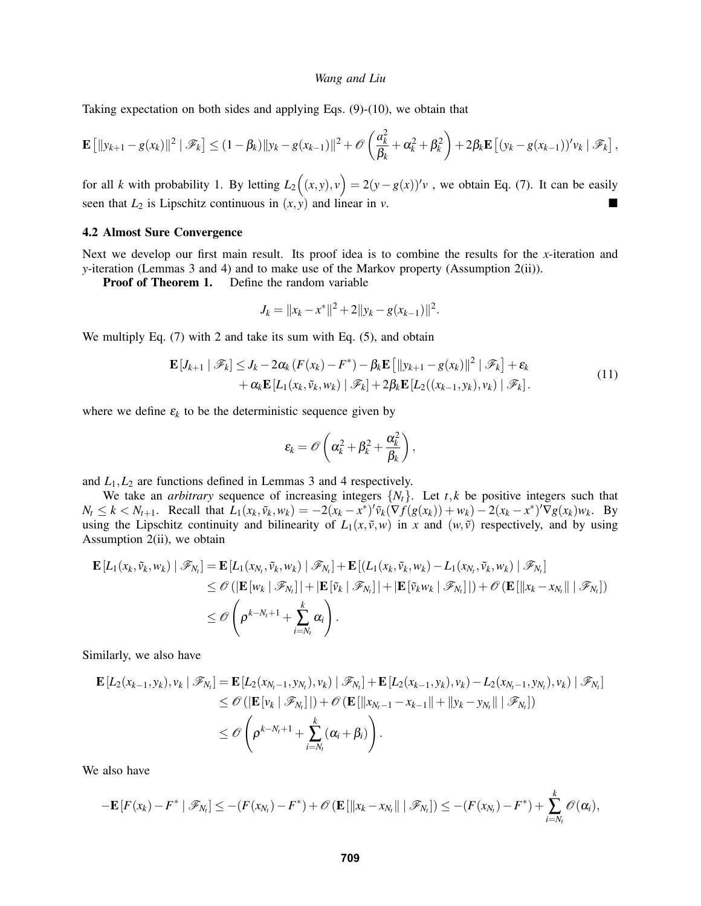Taking expectation on both sides and applying Eqs. (9)-(10), we obtain that

$$
\mathbf{E}\left[\|y_{k+1}-g(x_k)\|^2\mid \mathscr{F}_k\right] \leq (1-\beta_k)\|y_k-g(x_{k-1})\|^2+\mathscr{O}\left(\frac{a_k^2}{\beta_k}+\alpha_k^2+\beta_k^2\right)+2\beta_k\mathbf{E}\left[(y_k-g(x_{k-1}))'v_k\mid \mathscr{F}_k\right],
$$

for all *k* with probability 1. By letting  $L_2((x, y), v) = 2(y - g(x))'v$ , we obtain Eq. (7). It can be easily seen that  $L_2$  is Lipschitz continuous in  $(x, y)$  and linear in *v*.

## 4.2 Almost Sure Convergence

Next we develop our first main result. Its proof idea is to combine the results for the *x*-iteration and *y*-iteration (Lemmas 3 and 4) and to make use of the Markov property (Assumption 2(ii)).

Proof of Theorem 1. Define the random variable

$$
J_k = ||x_k - x^*||^2 + 2||y_k - g(x_{k-1})||^2.
$$

We multiply Eq. (7) with 2 and take its sum with Eq. (5), and obtain

$$
\mathbf{E}[J_{k+1} | \mathscr{F}_k] \leq J_k - 2\alpha_k (F(x_k) - F^*) - \beta_k \mathbf{E}[||y_{k+1} - g(x_k)||^2 | \mathscr{F}_k] + \varepsilon_k
$$
  
+  $\alpha_k \mathbf{E}[L_1(x_k, \tilde{v}_k, w_k) | \mathscr{F}_k] + 2\beta_k \mathbf{E}[L_2((x_{k-1}, y_k), v_k) | \mathscr{F}_k].$  (11)

where we define  $\varepsilon_k$  to be the deterministic sequence given by

$$
\epsilon_k = \mathscr{O}\left(\alpha_k^2 + \beta_k^2 + \frac{\alpha_k^2}{\beta_k}\right),
$$

and  $L_1, L_2$  are functions defined in Lemmas 3 and 4 respectively.

We take an *arbitrary* sequence of increasing integers  $\{N_t\}$ . Let *t*, *k* be positive integers such that  $N_t \le k < N_{t+1}$ . Recall that  $L_1(x_k, \tilde{v}_k, w_k) = -2(x_k - x^*)' \tilde{v}_k(\nabla f(g(x_k)) + w_k) - 2(x_k - x^*)' \nabla g(x_k) w_k$ . By using the Lipschitz continuity and bilinearity of  $L_1(x, \tilde{v}, w)$  in *x* and  $(w, \tilde{v})$  respectively, and by using Assumption 2(ii), we obtain

$$
\mathbf{E}\left[L_1(x_k, \tilde{v}_k, w_k) \mid \mathscr{F}_{N_t}\right] = \mathbf{E}\left[L_1(x_{N_t}, \tilde{v}_k, w_k) \mid \mathscr{F}_{N_t}\right] + \mathbf{E}\left[(L_1(x_k, \tilde{v}_k, w_k) - L_1(x_{N_t}, \tilde{v}_k, w_k) \mid \mathscr{F}_{N_t}\right] \n\leq \mathscr{O}\left(\left|\mathbf{E}\left[w_k \mid \mathscr{F}_{N_t}\right]\right| + \left|\mathbf{E}\left[\tilde{v}_k \mid \mathscr{F}_{N_t}\right]\right| + \left|\mathbf{E}\left[\tilde{v}_k w_k \mid \mathscr{F}_{N_t}\right]\right|\right) + \mathscr{O}\left(\mathbf{E}\left[\left\|x_k - x_{N_t}\right\|\right \mid \mathscr{F}_{N_t}\right]\right) \n\leq \mathscr{O}\left(\rho^{k - N_t + 1} + \sum_{i = N_t}^k \alpha_i\right).
$$

Similarly, we also have

$$
\mathbf{E}\left[L_2(x_{k-1},y_k),v_k \mid \mathscr{F}_{N_t}\right] = \mathbf{E}\left[L_2(x_{N_t-1},y_{N_t}),v_k\right) \mid \mathscr{F}_{N_t}\right] + \mathbf{E}\left[L_2(x_{k-1},y_k),v_k\right) - L_2(x_{N_t-1},y_{N_t}),v_k) \mid \mathscr{F}_{N_t}\right] \\
\leq \mathcal{O}\left(\left|\mathbf{E}\left[v_k \mid \mathscr{F}_{N_t}\right]\right| + \mathcal{O}\left(\mathbf{E}\left[\|x_{N_t-1} - x_{k-1}\| + \|y_k - y_{N_t}\| \mid \mathscr{F}_{N_t}\right]\right) \\
\leq \mathcal{O}\left(\rho^{k - N_t + 1} + \sum_{i=N_t}^k (\alpha_i + \beta_i)\right).
$$

We also have

$$
-\mathbf{E}[F(x_k)-F^* \mid \mathscr{F}_{N_t}] \leq -(F(x_{N_t})-F^*)+\mathscr{O}(\mathbf{E}[\|x_k-x_{N_t}\| \mid \mathscr{F}_{N_t}]) \leq -(F(x_{N_t})-F^*)+\sum_{i=N_t}^k \mathscr{O}(\alpha_i),
$$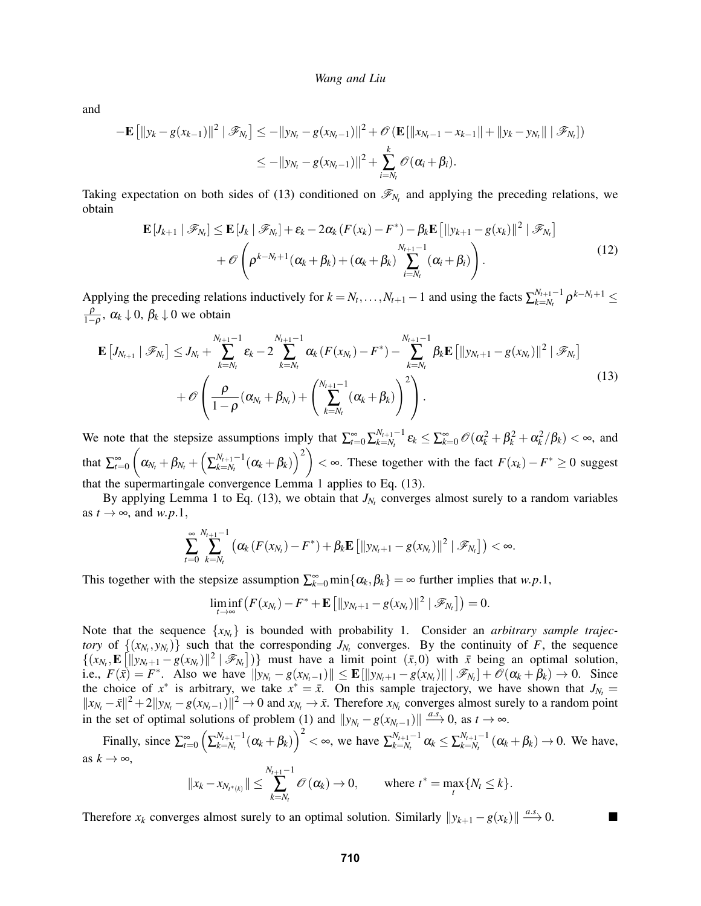and

$$
-\mathbf{E} [||y_k - g(x_{k-1})||^2 | \mathcal{F}_{N_t}] \le -||y_{N_t} - g(x_{N_t-1})||^2 + \mathcal{O}(\mathbf{E} [||x_{N_t-1} - x_{k-1}|| + ||y_k - y_{N_t}|| | \mathcal{F}_{N_t}])
$$
  

$$
\le -||y_{N_t} - g(x_{N_t-1})||^2 + \sum_{i=N_t}^k \mathcal{O}(\alpha_i + \beta_i).
$$

Taking expectation on both sides of (13) conditioned on  $\mathcal{F}_{N_t}$  and applying the preceding relations, we obtain

$$
\mathbf{E}\left[J_{k+1} \mid \mathscr{F}_{N_t}\right] \leq \mathbf{E}\left[J_k \mid \mathscr{F}_{N_t}\right] + \varepsilon_k - 2\alpha_k \left(F(x_k) - F^*\right) - \beta_k \mathbf{E}\left[\|y_{k+1} - g(x_k)\|^2 \mid \mathscr{F}_{N_t}\right] + \mathcal{O}\left(\rho^{k - N_t + 1}(\alpha_k + \beta_k) + (\alpha_k + \beta_k) \sum_{i = N_t}^{N_{t+1} - 1} (\alpha_i + \beta_i)\right).
$$
\n(12)

Applying the preceding relations inductively for  $k = N_t, \ldots, N_{t+1} - 1$  and using the facts  $\sum_{k=N_t}^{N_{t+1}-1}$  $\sum_{k=N_t}^{N_{t+1}-1}\rho^{k-N_t+1}\leq$ ρ  $\frac{\rho}{1-\rho}$ , α<sub>*k*</sub> ↓ 0, β<sub>*k*</sub> ↓ 0 we obtain

$$
\mathbf{E}\left[J_{N_{t+1}} \mid \mathscr{F}_{N_t}\right] \leq J_{N_t} + \sum_{k=N_t}^{N_{t+1}-1} \varepsilon_k - 2 \sum_{k=N_t}^{N_{t+1}-1} \alpha_k \left(F(x_{N_t}) - F^*\right) - \sum_{k=N_t}^{N_{t+1}-1} \beta_k \mathbf{E}\left[\|y_{N_t+1} - g(x_{N_t})\|^2 \mid \mathscr{F}_{N_t}\right] + \mathcal{O}\left(\frac{\rho}{1-\rho}(\alpha_{N_t} + \beta_{N_t}) + \left(\sum_{k=N_t}^{N_{t+1}-1}(\alpha_k + \beta_k)\right)^2\right).
$$
\n(13)

We note that the stepsize assumptions imply that  $\sum_{t=0}^{\infty} \sum_{k=N_t}^{N_{t+1}-1}$  $\sum_{k=N_t}^{N_{t+1}-1} \varepsilon_k \leq \sum_{k=0}^{\infty} \mathscr{O}(\alpha_k^2 + \beta_k^2 + \alpha_k^2/\beta_k) < \infty$ , and that  $\sum_{t=0}^{\infty}$  $\left( \textit{\textbf{a}}_{N_{t}}+\beta_{N_{t}}+\left( \sum_{k=N_{t}}^{N_{t+1}-1}\right)$  $\left(\alpha_k + \beta_k\right)^2$   $\geq$  ∞. These together with the fact  $F(x_k) - F^* \geq 0$  suggest that the supermartingale convergence Lemma 1 applies to Eq. (13).

By applying Lemma 1 to Eq. (13), we obtain that  $J_{N_t}$  converges almost surely to a random variables as  $t \rightarrow \infty$ , and  $w.p.1$ ,

$$
\sum_{t=0}^{\infty}\sum_{k=N_{t}}^{N_{t+1}-1} \left( \alpha_{k} \left( F(x_{N_{t}}) - F^{*} \right) + \beta_{k} \mathbf{E} \left[ \left\| y_{N_{t}+1} - g(x_{N_{t}}) \right\|^{2} \mid \mathscr{F}_{N_{t}} \right] \right) < \infty.
$$

This together with the stepsize assumption  $\sum_{k=0}^{\infty} \min\{\alpha_k, \beta_k\} = \infty$  further implies that *w.p.*1,

$$
\liminf_{t\to\infty}\big(F(x_{N_t})-F^*+\mathbf{E}\big[\|y_{N_t+1}-g(x_{N_t})\|^2\mid\mathscr{F}_{N_t}\big]\big)=0.
$$

Note that the sequence  $\{x_{N_t}\}\$ is bounded with probability 1. Consider an *arbitrary sample trajectory* of  $\{(x_N, y_{N_t})\}$  such that the corresponding  $J_{N_t}$  converges. By the continuity of *F*, the sequence  $\{(x_{N_t}, \mathbf{E} [||y_{N_t+1} - g(x_{N_t})||^2 | \mathcal{F}_{N_t}])\}$  must have a limit point  $(\bar{x}, 0)$  with  $\bar{x}$  being an optimal solution, i.e.,  $F(\bar{x}) = F^*$ . Also we have  $||y_{N_t} - g(x_{N_t-1})|| \le \mathbf{E}[||y_{N_t+1} - g(x_{N_t})|| | \mathcal{F}_{N_t}] + \mathcal{O}(\alpha_k + \beta_k) \to 0$ . Since the choice of  $x^*$  is arbitrary, we take  $x^* = \bar{x}$ . On this sample trajectory, we have shown that  $J_{N_t} =$  $||x_{N_t} - \bar{x}||^2 + 2||y_{N_t} - g(x_{N_t-1})||^2 \to 0$  and  $x_{N_t} \to \bar{x}$ . Therefore  $x_{N_t}$  converges almost surely to a random point in the set of optimal solutions of problem (1) and  $||y_{N_t} - g(x_{N_t-1})|| \stackrel{a.s.}{\longrightarrow} 0$ , as  $t \to \infty$ .

Finally, since  $\sum_{t=0}^{\infty} \left( \sum_{k=N_t}^{N_{t+1}-1} \right)$ *N*<sub>*t*+1</sub><sup>-1</sup></sup>(α<sub>*k*</sub> + β<sub>*k*</sub>)</sub> $)<sup>2</sup>$  < ∞, we have  $\sum_{k=N_t}^{N_{t+1}-1}$  $\alpha_{k=N_t}^{N_{t+1}-1}$   $\alpha_k \leq \sum_{k=N_t}^{N_{t+1}-1}$  $\sum_{k=N_t}^{N_{t+1}-1} (\alpha_k + \beta_k) \rightarrow 0$ . We have, as  $k \to \infty$ .

$$
||x_k - x_{N_{t^*(k)}}|| \le \sum_{k=N_t}^{N_{t+1}-1} \mathcal{O}(\alpha_k) \to 0
$$
, where  $t^* = \max_t \{N_t \le k\}$ .

Therefore  $x_k$  converges almost surely to an optimal solution. Similarly  $||y_{k+1} - g(x_k)|| \xrightarrow{a.s.} 0$ .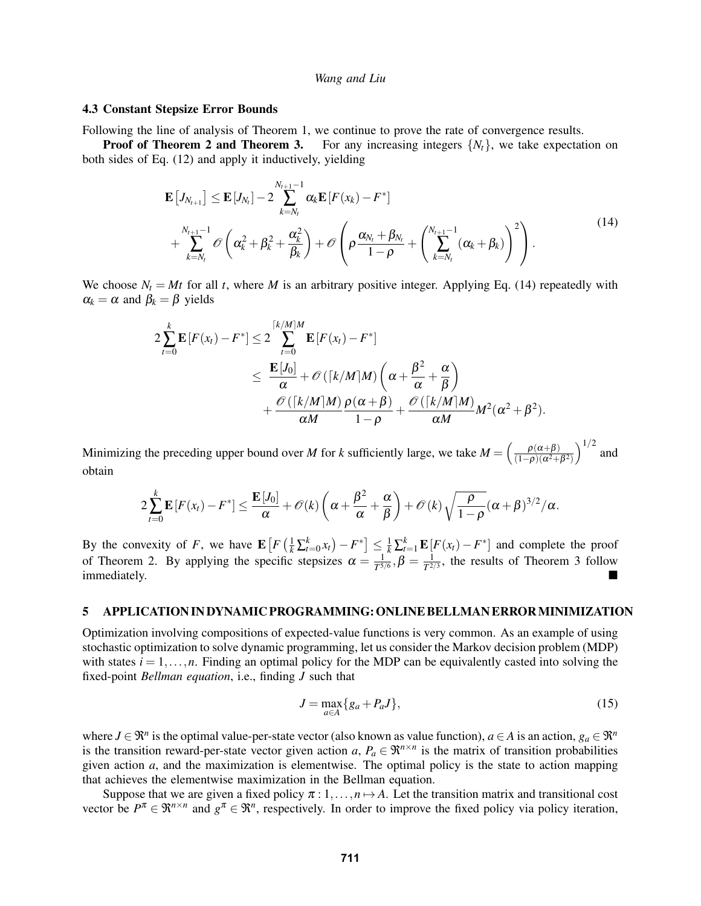## 4.3 Constant Stepsize Error Bounds

Following the line of analysis of Theorem 1, we continue to prove the rate of convergence results.

**Proof of Theorem 2 and Theorem 3.** For any increasing integers  $\{N_t\}$ , we take expectation on both sides of Eq. (12) and apply it inductively, yielding

$$
\mathbf{E}\left[J_{N_{t+1}}\right] \leq \mathbf{E}\left[J_{N_{t}}\right] - 2\sum_{k=N_{t}}^{N_{t+1}-1} \alpha_{k} \mathbf{E}\left[F(x_{k}) - F^{*}\right] + \sum_{k=N_{t}}^{N_{t+1}-1} \mathcal{O}\left(\alpha_{k}^{2} + \beta_{k}^{2} + \frac{\alpha_{k}^{2}}{\beta_{k}}\right) + \mathcal{O}\left(\rho \frac{\alpha_{N_{t}} + \beta_{N_{t}}}{1-\rho} + \left(\sum_{k=N_{t}}^{N_{t+1}-1} (\alpha_{k} + \beta_{k})\right)^{2}\right).
$$
\n(14)

We choose  $N_t = Mt$  for all *t*, where *M* is an arbitrary positive integer. Applying Eq. (14) repeatedly with  $\alpha_k = \alpha$  and  $\beta_k = \beta$  yields

$$
2\sum_{t=0}^{k} \mathbf{E}\left[F(x_t) - F^*\right] \le 2\sum_{t=0}^{\lceil k/M \rceil M} \mathbf{E}\left[F(x_t) - F^*\right]
$$
  

$$
\le \frac{\mathbf{E}\left[J_0\right]}{\alpha} + \mathcal{O}\left(\lceil k/M \rceil M\right) \left(\alpha + \frac{\beta^2}{\alpha} + \frac{\alpha}{\beta}\right)
$$
  

$$
+ \frac{\mathcal{O}\left(\lceil k/M \rceil M\right)}{\alpha M} \frac{\rho(\alpha + \beta)}{1 - \rho} + \frac{\mathcal{O}\left(\lceil k/M \rceil M\right)}{\alpha M} M^2(\alpha^2 + \beta^2).
$$

Minimizing the preceding upper bound over *M* for *k* sufficiently large, we take  $M = \left(\frac{\rho(\alpha+\beta)}{(1-\rho)(\alpha^2+\beta)}\right)$  $\frac{\rho(\alpha+\beta)}{(1-\rho)(\alpha^2+\beta^2)}\Big)^{1/2}$  and obtain

$$
2\sum_{t=0}^k \mathbf{E}\left[F(x_t)-F^*\right] \leq \frac{\mathbf{E}\left[J_0\right]}{\alpha}+\mathscr{O}(k)\left(\alpha+\frac{\beta^2}{\alpha}+\frac{\alpha}{\beta}\right)+\mathscr{O}(k)\sqrt{\frac{\rho}{1-\rho}}(\alpha+\beta)^{3/2}/\alpha.
$$

By the convexity of *F*, we have  $\mathbf{E}\left[F\left(\frac{1}{k}\sum_{t=0}^{k}x_{t}\right)-F^{*}\right] \leq \frac{1}{k}\sum_{t=1}^{k}\mathbf{E}\left[F(x_{t})-F^{*}\right]$  and complete the proof of Theorem 2. By applying the specific stepsizes  $\alpha = \frac{1}{\tau^5}$  $\frac{1}{T^{5/6}}, \beta = \frac{1}{T^{2/3}}$  $\frac{1}{T^{2/3}}$ , the results of Theorem 3 follow immediately.

### 5 APPLICATION IN DYNAMIC PROGRAMMING: ONLINE BELLMAN ERRORMINIMIZATION

Optimization involving compositions of expected-value functions is very common. As an example of using stochastic optimization to solve dynamic programming, let us consider the Markov decision problem (MDP) with states  $i = 1, \ldots, n$ . Finding an optimal policy for the MDP can be equivalently casted into solving the fixed-point *Bellman equation*, i.e., finding *J* such that

$$
J = \max_{a \in A} \{g_a + P_a J\},\tag{15}
$$

where  $J \in \mathbb{R}^n$  is the optimal value-per-state vector (also known as value function),  $a \in A$  is an action,  $g_a \in \mathbb{R}^n$ is the transition reward-per-state vector given action *a*,  $P_a \in \mathbb{R}^{n \times n}$  is the matrix of transition probabilities given action *a*, and the maximization is elementwise. The optimal policy is the state to action mapping that achieves the elementwise maximization in the Bellman equation.

Suppose that we are given a fixed policy  $\pi: 1, \ldots, n \mapsto A$ . Let the transition matrix and transitional cost vector be  $P^{\pi} \in \mathbb{R}^{n \times n}$  and  $g^{\pi} \in \mathbb{R}^n$ , respectively. In order to improve the fixed policy via policy iteration,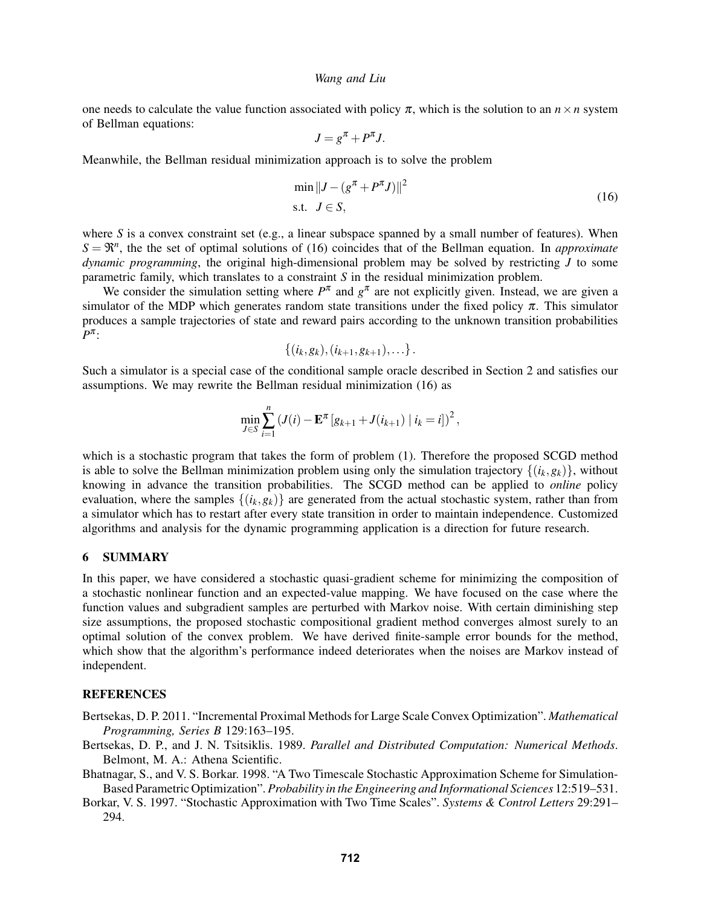one needs to calculate the value function associated with policy  $\pi$ , which is the solution to an  $n \times n$  system of Bellman equations:

$$
J = g^{\pi} + P^{\pi} J.
$$

Meanwhile, the Bellman residual minimization approach is to solve the problem

$$
\min \|J - (g^{\pi} + P^{\pi}J)\|^2
$$
  
s.t.  $J \in S$ , (16)

where *S* is a convex constraint set (e.g., a linear subspace spanned by a small number of features). When  $S = \mathbb{R}^n$ , the the set of optimal solutions of (16) coincides that of the Bellman equation. In *approximate dynamic programming*, the original high-dimensional problem may be solved by restricting *J* to some parametric family, which translates to a constraint *S* in the residual minimization problem.

We consider the simulation setting where  $P^{\pi}$  and  $g^{\pi}$  are not explicitly given. Instead, we are given a simulator of the MDP which generates random state transitions under the fixed policy  $\pi$ . This simulator produces a sample trajectories of state and reward pairs according to the unknown transition probabilities *P* π :

$$
\{(i_k, g_k), (i_{k+1}, g_{k+1}), \ldots\}.
$$

Such a simulator is a special case of the conditional sample oracle described in Section 2 and satisfies our assumptions. We may rewrite the Bellman residual minimization (16) as

$$
\min_{J \in S} \sum_{i=1}^{n} (J(i) - \mathbf{E}^{\pi} [g_{k+1} + J(i_{k+1}) | i_k = i])^2,
$$

which is a stochastic program that takes the form of problem  $(1)$ . Therefore the proposed SCGD method is able to solve the Bellman minimization problem using only the simulation trajectory  $\{(i_k, g_k)\}\$ , without knowing in advance the transition probabilities. The SCGD method can be applied to *online* policy evaluation, where the samples  $\{(i_k, g_k)\}\$  are generated from the actual stochastic system, rather than from a simulator which has to restart after every state transition in order to maintain independence. Customized algorithms and analysis for the dynamic programming application is a direction for future research.

## 6 SUMMARY

In this paper, we have considered a stochastic quasi-gradient scheme for minimizing the composition of a stochastic nonlinear function and an expected-value mapping. We have focused on the case where the function values and subgradient samples are perturbed with Markov noise. With certain diminishing step size assumptions, the proposed stochastic compositional gradient method converges almost surely to an optimal solution of the convex problem. We have derived finite-sample error bounds for the method, which show that the algorithm's performance indeed deteriorates when the noises are Markov instead of independent.

## **REFERENCES**

- Bertsekas, D. P. 2011. "Incremental Proximal Methods for Large Scale Convex Optimization". *Mathematical Programming, Series B* 129:163–195.
- Bertsekas, D. P., and J. N. Tsitsiklis. 1989. *Parallel and Distributed Computation: Numerical Methods*. Belmont, M. A.: Athena Scientific.
- Bhatnagar, S., and V. S. Borkar. 1998. "A Two Timescale Stochastic Approximation Scheme for Simulation-Based Parametric Optimization". *Probability in the Engineering and Informational Sciences* 12:519–531.
- Borkar, V. S. 1997. "Stochastic Approximation with Two Time Scales". *Systems & Control Letters* 29:291– 294.